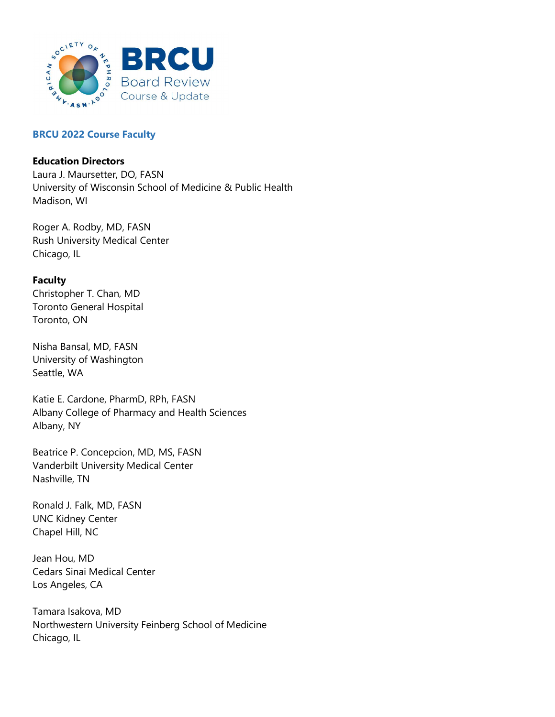

## BRCU 2022 Course Faculty

## Education Directors

Laura J. Maursetter, DO, FASN University of Wisconsin School of Medicine & Public Health Madison, WI

Roger A. Rodby, MD, FASN Rush University Medical Center Chicago, IL

## Faculty

Christopher T. Chan, MD Toronto General Hospital Toronto, ON

Nisha Bansal, MD, FASN University of Washington Seattle, WA

Katie E. Cardone, PharmD, RPh, FASN Albany College of Pharmacy and Health Sciences Albany, NY

Beatrice P. Concepcion, MD, MS, FASN Vanderbilt University Medical Center Nashville, TN

Ronald J. Falk, MD, FASN UNC Kidney Center Chapel Hill, NC

Jean Hou, MD Cedars Sinai Medical Center Los Angeles, CA

Tamara Isakova, MD Northwestern University Feinberg School of Medicine Chicago, IL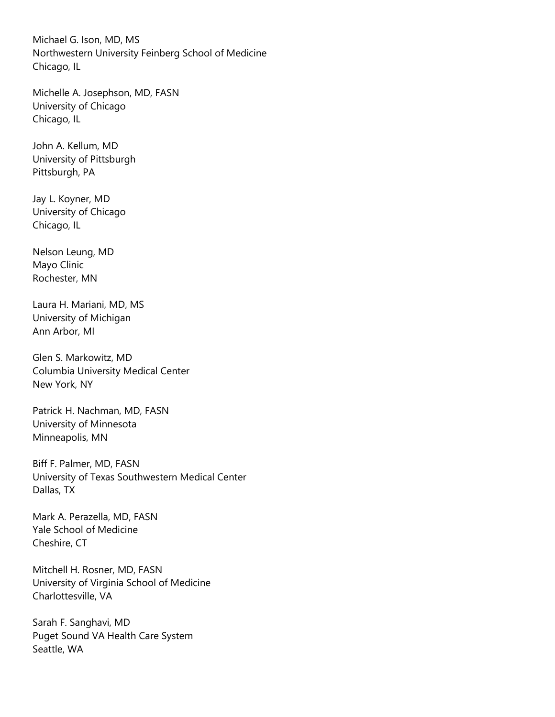Michael G. Ison, MD, MS Northwestern University Feinberg School of Medicine Chicago, IL

Michelle A. Josephson, MD, FASN University of Chicago Chicago, IL

John A. Kellum, MD University of Pittsburgh Pittsburgh, PA

Jay L. Koyner, MD University of Chicago Chicago, IL

Nelson Leung, MD Mayo Clinic Rochester, MN

Laura H. Mariani, MD, MS University of Michigan Ann Arbor, MI

Glen S. Markowitz, MD Columbia University Medical Center New York, NY

Patrick H. Nachman, MD, FASN University of Minnesota Minneapolis, MN

Biff F. Palmer, MD, FASN University of Texas Southwestern Medical Center Dallas, TX

Mark A. Perazella, MD, FASN Yale School of Medicine Cheshire, CT

Mitchell H. Rosner, MD, FASN University of Virginia School of Medicine Charlottesville, VA

Sarah F. Sanghavi, MD Puget Sound VA Health Care System Seattle, WA